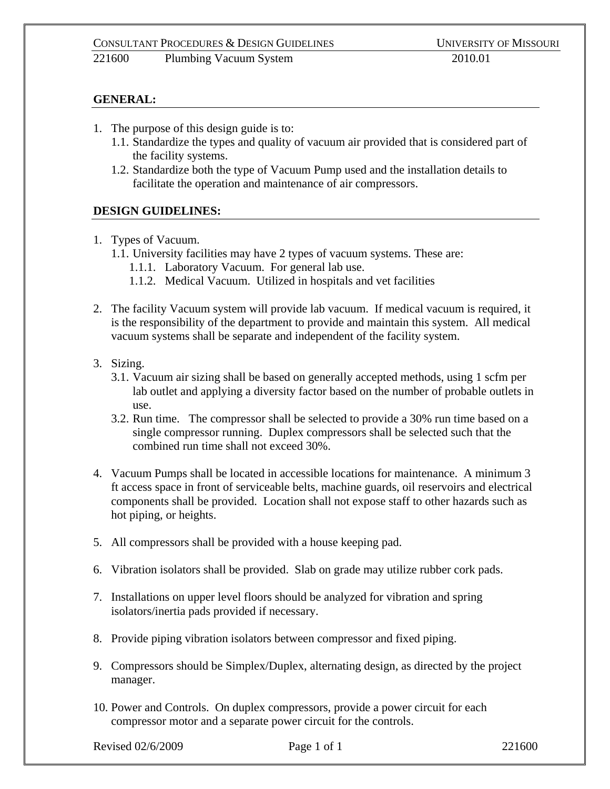## **GENERAL:**

- 1. The purpose of this design guide is to:
	- 1.1. Standardize the types and quality of vacuum air provided that is considered part of the facility systems.
	- 1.2. Standardize both the type of Vacuum Pump used and the installation details to facilitate the operation and maintenance of air compressors.

## **DESIGN GUIDELINES:**

- 1. Types of Vacuum.
	- 1.1. University facilities may have 2 types of vacuum systems. These are:
		- 1.1.1. Laboratory Vacuum. For general lab use.
		- 1.1.2. Medical Vacuum. Utilized in hospitals and vet facilities
- 2. The facility Vacuum system will provide lab vacuum. If medical vacuum is required, it is the responsibility of the department to provide and maintain this system. All medical vacuum systems shall be separate and independent of the facility system.
- 3. Sizing.
	- 3.1. Vacuum air sizing shall be based on generally accepted methods, using 1 scfm per lab outlet and applying a diversity factor based on the number of probable outlets in use.
	- 3.2. Run time. The compressor shall be selected to provide a 30% run time based on a single compressor running. Duplex compressors shall be selected such that the combined run time shall not exceed 30%.
- 4. Vacuum Pumps shall be located in accessible locations for maintenance. A minimum 3 ft access space in front of serviceable belts, machine guards, oil reservoirs and electrical components shall be provided. Location shall not expose staff to other hazards such as hot piping, or heights.
- 5. All compressors shall be provided with a house keeping pad.
- 6. Vibration isolators shall be provided. Slab on grade may utilize rubber cork pads.
- 7. Installations on upper level floors should be analyzed for vibration and spring isolators/inertia pads provided if necessary.
- 8. Provide piping vibration isolators between compressor and fixed piping.
- 9. Compressors should be Simplex/Duplex, alternating design, as directed by the project manager.
- 10. Power and Controls. On duplex compressors, provide a power circuit for each compressor motor and a separate power circuit for the controls.

Revised 02/6/2009 **Page 1 of 1** 221600